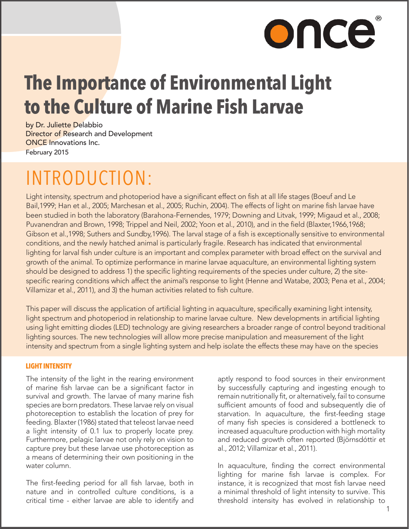# once

# **The Importance of Environmental Light to the Culture of Marine Fish Larvae**

by Dr. Juliette Delabbio Director of Research and Development ONCE Innovations Inc. February 2015

# INTRODUCTION:

Light intensity, spectrum and photoperiod have a significant effect on fish at all life stages (Boeuf and Le Bail,1999; Han et al., 2005; Marchesan et al., 2005; Ruchin, 2004). The effects of light on marine fish larvae have been studied in both the laboratory (Barahona-Fernendes, 1979; Downing and Litvak, 1999; Migaud et al., 2008; Puvanendran and Brown, 1998; Trippel and Neil, 2002; Yoon et al., 2010), and in the field (Blaxter,1966,1968; Gibson et al.,1998; Suthers and Sundby,1996). The larval stage of a fish is exceptionally sensitive to environmental conditions, and the newly hatched animal is particularly fragile. Research has indicated that environmental lighting for larval fish under culture is an important and complex parameter with broad effect on the survival and growth of the animal. To optimize performance in marine larvae aquaculture, an environmental lighting system should be designed to address 1) the specific lighting requirements of the species under culture, 2) the sitespecific rearing conditions which affect the animal's response to light (Henne and Watabe, 2003; Pena et al., 2004; Villamizar et al., 2011), and 3) the human activities related to fish culture.

This paper will discuss the application of artificial lighting in aquaculture, specifically examining light intensity, light spectrum and photoperiod in relationship to marine larvae culture. New developments in artificial lighting using light emitting diodes (LED) technology are giving researchers a broader range of control beyond traditional lighting sources. The new technologies will allow more precise manipulation and measurement of the light intensity and spectrum from a single lighting system and help isolate the effects these may have on the species

#### **LIGHT INTENSITY**

The intensity of the light in the rearing environment of marine fish larvae can be a significant factor in survival and growth. The larvae of many marine fish species are born predators. These larvae rely on visual photoreception to establish the location of prey for feeding. Blaxter (1986) stated that teleost larvae need a light intensity of 0.1 lux to properly locate prey. Furthermore, pelagic larvae not only rely on vision to capture prey but these larvae use photoreception as a means of determining their own positioning in the water column.

The first-feeding period for all fish larvae, both in nature and in controlled culture conditions, is a critical time - either larvae are able to identify and

aptly respond to food sources in their environment by successfully capturing and ingesting enough to remain nutritionally fit, or alternatively, fail to consume sufficient amounts of food and subsequently die of starvation. In aquaculture, the first-feeding stage of many fish species is considered a bottleneck to increased aquaculture production with high mortality and reduced growth often reported (Björnsdóttir et al., 2012; Villamizar et al., 2011).

In aquaculture, finding the correct environmental lighting for marine fish larvae is complex. For instance, it is recognized that most fish larvae need a minimal threshold of light intensity to survive. This threshold intensity has evolved in relationship to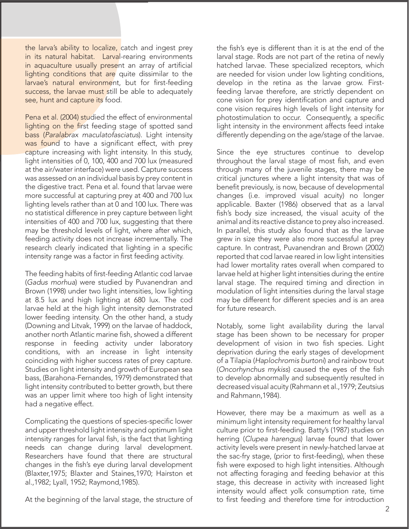the larva's ability to localize, catch and ingest prey in its natural habitat. Larval-rearing environments in aquaculture usually present an array of artificial lighting conditions that are quite dissimilar to the larvae's natural environment, but for first-feeding success, the larvae must still be able to adequately see, hunt and capture its food.

Pena et al. (2004) studied the effect of environmental lighting on the first feeding stage of spotted sand bass (*Paralabrax maculatofasciatus*). Light intensity was found to have a significant effect, with prey capture increasing with light intensity. In this study, light intensities of 0, 100, 400 and 700 lux (measured at the air/water interface) were used. Capture success was assessed on an individual basis by prey content in the digestive tract. Pena et al. found that larvae were more successful at capturing prey at 400 and 700 lux lighting levels rather than at 0 and 100 lux. There was no statistical difference in prey capture between light intensities of 400 and 700 lux, suggesting that there may be threshold levels of light, where after which, feeding activity does not increase incrementally. The research clearly indicated that lighting in a specific intensity range was a factor in first feeding activity.

The feeding habits of first-feeding Atlantic cod larvae (*Gadus morhua*) were studied by Puvanendran and Brown (1998) under two light intensities, low lighting at 8.5 lux and high lighting at 680 lux. The cod larvae held at the high light intensity demonstrated lower feeding intensity. On the other hand, a study (Downing and Litvak, 1999) on the larvae of haddock, another north Atlantic marine fish, showed a different response in feeding activity under laboratory conditions, with an increase in light intensity coinciding with higher success rates of prey capture. Studies on light intensity and growth of European sea bass, (Barahona-Fernandes, 1979) demonstrated that light intensity contributed to better growth, but there was an upper limit where too high of light intensity had a negative effect.

Complicating the questions of species-specific lower and upper threshold light intensity and optimum light intensity ranges for larval fish, is the fact that lighting needs can change during larval development. Researchers have found that there are structural changes in the fish's eye during larval development (Blaxter,1975; Blaxter and Staines,1970; Hairston et al.,1982; Lyall, 1952; Raymond,1985).

At the beginning of the larval stage, the structure of

the fish's eye is different than it is at the end of the larval stage. Rods are not part of the retina of newly hatched larvae. These specialized receptors, which are needed for vision under low lighting conditions, develop in the retina as the larvae grow. Firstfeeding larvae therefore, are strictly dependent on cone vision for prey identification and capture and cone vision requires high levels of light intensity for photostimulation to occur. Consequently, a specific light intensity in the environment affects feed intake differently depending on the age/stage of the larvae.

Since the eye structures continue to develop throughout the larval stage of most fish, and even through many of the juvenile stages, there may be critical junctures where a light intensity that was of benefit previously, is now, because of developmental changes (i.e. improved visual acuity) no longer applicable. Baxter (1986) observed that as a larval fish's body size increased, the visual acuity of the animal and its reactive distance to prey also increased. In parallel, this study also found that as the larvae grew in size they were also more successful at prey capture. In contrast, Puvanendran and Brown (2002) reported that cod larvae reared in low light intensities had lower mortality rates overall when compared to larvae held at higher light intensities during the entire larval stage. The required timing and direction in modulation of light intensities during the larval stage may be different for different species and is an area for future research.

Notably, some light availability during the larval stage has been shown to be necessary for proper development of vision in two fish species. Light deprivation during the early stages of development of a Tilapia (*Haplochromis burtoni*) and rainbow trout (*Oncorhynchus mykiss*) caused the eyes of the fish to develop abnormally and subsequently resulted in decreased visual acuity (Rahmann et al.,1979; Zeutsius and Rahmann,1984).

However, there may be a maximum as well as a minimum light intensity requirement for healthy larval culture prior to first-feeding. Batty's (1987) studies on herring (*Clupea harengus*) larvae found that lower activity levels were present in newly-hatched larvae at the sac-fry stage, (prior to first-feeding), when these fish were exposed to high light intensities. Although not affecting foraging and feeding behavior at this stage, this decrease in activity with increased light intensity would affect yolk consumption rate, time to first feeding and therefore time for introduction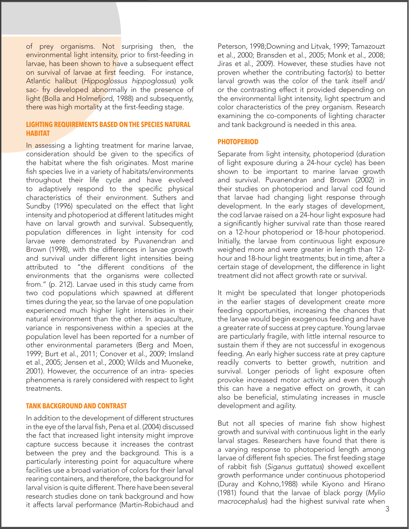of prey organisms. Not surprising then, the environmental light intensity, prior to first-feeding in larvae, has been shown to have a subsequent effect on survival of larvae at first feeding. For instance, Atlantic halibut (*Hippoglossus hippoglossus*) yolk sac- fry developed abnormally in the presence of light (Bolla and Holmefjord, 1988) and subsequently, there was high mortality at the first-feeding stage.

#### **LIGHTING REQUIREMENTS BASED ON THE SPECIES NATURAL HABITAT**

In assessing a lighting treatment for marine larvae, consideration should be given to the specifics of the habitat where the fish originates. Most marine fish species live in a variety of habitats/environments throughout their life cycle and have evolved to adaptively respond to the specific physical characteristics of their environment. Suthers and Sundby (1996) speculated on the effect that light intensity and photoperiod at different latitudes might have on larval growth and survival. Subsequently, population differences in light intensity for cod larvae were demonstrated by Puvanendran and Brown (1998), with the differences in larvae growth and survival under different light intensities being attributed to "the different conditions of the environments that the organisms were collected from." (p. 212). Larvae used in this study came from two cod populations which spawned at different times during the year, so the larvae of one population experienced much higher light intensities in their natural environment than the other. In aquaculture, variance in responsiveness within a species at the population level has been reported for a number of other environmental parameters (Berg and Moen, 1999; Burt et al., 2011; Conover et al., 2009; Imsland et al., 2005; Jensen et al., 2000; Wilds and Muoneke, 2001). However, the occurrence of an intra- species phenomena is rarely considered with respect to light treatments.

#### **TANK BACKGROUND AND CONTRAST**

In addition to the development of different structures in the eye of the larval fish, Pena et al. (2004) discussed the fact that increased light intensity might improve capture success because it increases the contrast between the prey and the background. This is a particularly interesting point for aquaculture where facilities use a broad variation of colors for their larval rearing containers, and therefore, the background for larval vision is quite different. There have been several research studies done on tank background and how it affects larval performance (Martin-Robichaud and Peterson, 1998;Downing and Litvak, 1999; Tamazouzt et al., 2000; Bransden et al., 2005; Monk et al., 2008; Jiras et al., 2009). However, these studies have not proven whether the contributing factor(s) to better larval growth was the color of the tank itself and/ or the contrasting effect it provided depending on the environmental light intensity, light spectrum and color characteristics of the prey organism. Research examining the co-components of lighting character and tank background is needed in this area.

#### **PHOTOPERIOD**

Separate from light intensity, photoperiod (duration of light exposure during a 24-hour cycle) has been shown to be important to marine larvae growth and survival. Puvanendran and Brown (2002) in their studies on photoperiod and larval cod found that larvae had changing light response through development. In the early stages of development, the cod larvae raised on a 24-hour light exposure had a significantly higher survival rate than those reared on a 12-hour photoperiod or 18-hour photoperiod. Initially, the larvae from continuous light exposure weighed more and were greater in length than 12 hour and 18-hour light treatments; but in time, after a certain stage of development, the difference in light treatment did not affect growth rate or survival.

It might be speculated that longer photoperiods in the earlier stages of development create more feeding opportunities, increasing the chances that the larvae would begin exogenous feeding and have a greater rate of success at prey capture. Young larvae are particularly fragile, with little internal resource to sustain them if they are not successful in exogenous feeding. An early higher success rate at prey capture readily converts to better growth, nutrition and survival. Longer periods of light exposure often provoke increased motor activity and even though this can have a negative effect on growth, it can also be beneficial, stimulating increases in muscle development and agility.

But not all species of marine fish show highest growth and survival with continuous light in the early larval stages. Researchers have found that there is a varying response to photoperiod length among larvae of different fish species. The first feeding stage of rabbit fish (*Siganus guttatus*) showed excellent growth performance under continuous photoperiod (Duray and Kohno,1988) while Kiyono and Hirano (1981) found that the larvae of black porgy (*Mylio macrocephalus*) had the highest survival rate when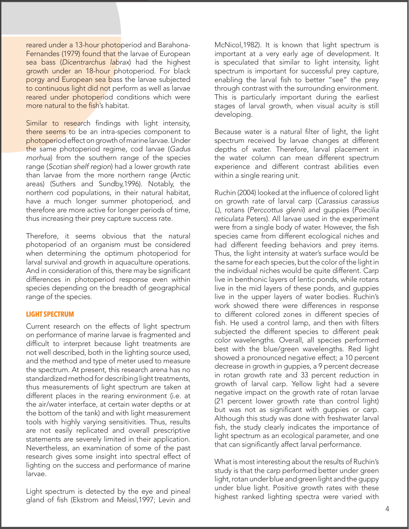reared under a 13-hour photoperiod and Barahona-Fernandes (1979) found that the larvae of European sea bass (*Dicentrarchus labrax*) had the highest growth under an 18-hour photoperiod. For black porgy and European sea bass the larvae subjected to continuous light did not perform as well as larvae reared under photoperiod conditions which were more natural to the fish's habitat.

Similar to research findings with light intensity, there seems to be an intra-species component to photoperiod effect on growth of marine larvae. Under the same photoperiod regime, cod larvae (*Gadus morhua*) from the southern range of the species range (*Scotian shelf region*) had a lower growth rate than larvae from the more northern range (Arctic areas) (Suthers and Sundby,1996). Notably, the northern cod populations, in their natural habitat, have a much longer summer photoperiod, and therefore are more active for longer periods of time, thus increasing their prey capture success rate.

Therefore, it seems obvious that the natural photoperiod of an organism must be considered when determining the optimum photoperiod for larval survival and growth in aquaculture operations. And in consideration of this, there may be significant differences in photoperiod response even within species depending on the breadth of geographical range of the species.

#### **LIGHT SPECTRUM**

Current research on the effects of light spectrum on performance of marine larvae is fragmented and difficult to interpret because light treatments are not well described, both in the lighting source used, and the method and type of meter used to measure the spectrum. At present, this research arena has no standardized method for describing light treatments, thus measurements of light spectrum are taken at different places in the rearing environment (i.e. at the air/water interface, at certain water depths or at the bottom of the tank) and with light measurement tools with highly varying sensitivities. Thus, results are not easily replicated and overall prescriptive statements are severely limited in their application. Nevertheless, an examination of some of the past research gives some insight into spectral effect of lighting on the success and performance of marine larvae.

Light spectrum is detected by the eye and pineal gland of fish (Ekstrom and Meissl,1997; Levin and

McNicol,1982). It is known that light spectrum is important at a very early age of development. It is speculated that similar to light intensity, light spectrum is important for successful prey capture, enabling the larval fish to better "see" the prey through contrast with the surrounding environment. This is particularly important during the earliest stages of larval growth, when visual acuity is still developing.

Because water is a natural filter of light, the light spectrum received by larvae changes at different depths of water. Therefore, larval placement in the water column can mean different spectrum experience and different contrast abilities even within a single rearing unit.

Ruchin (2004) looked at the influence of colored light on growth rate of larval carp (*Carassius carassius L*), rotans (*Perccottus glenii*) and guppies (*Poecilia reticulata* Peters). All larvae used in the experiment were from a single body of water. However, the fish species came from different ecological niches and had different feeding behaviors and prey items. Thus, the light intensity at water's surface would be the same for each species, but the color of the light in the individual niches would be quite different. Carp live in benthonic layers of lentic ponds, while rotans live in the mid layers of these ponds, and guppies live in the upper layers of water bodies. Ruchin's work showed there were differences in response to different colored zones in different species of fish. He used a control lamp, and then with filters subjected the different species to different peak color wavelengths. Overall, all species performed best with the blue/green wavelengths. Red light showed a pronounced negative effect; a 10 percent decrease in growth in guppies, a 9 percent decrease in rotan growth rate and 33 percent reduction in growth of larval carp. Yellow light had a severe negative impact on the growth rate of rotan larvae (21 percent lower growth rate than control light) but was not as significant with guppies or carp. Although this study was done with freshwater larval fish, the study clearly indicates the importance of light spectrum as an ecological parameter, and one that can significantly affect larval performance.

What is most interesting about the results of Ruchin's study is that the carp performed better under green light, rotan under blue and green light and the guppy under blue light. Positive growth rates with these highest ranked lighting spectra were varied with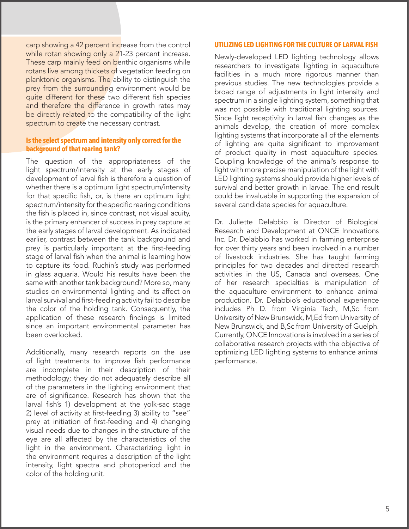carp showing a 42 percent increase from the control while rotan showing only a 21-23 percent increase. These carp mainly feed on benthic organisms while rotans live among thickets of vegetation feeding on planktonic organisms. The ability to distinguish the prey from the surrounding environment would be quite different for these two different fish species and therefore the difference in growth rates may be directly related to the compatibility of the light spectrum to create the necessary contrast.

#### **Is the select spectrum and intensity only correct for the background of that rearing tank?**

The question of the appropriateness of the light spectrum/intensity at the early stages of development of larval fish is therefore a question of whether there is a optimum light spectrum/intensity for that specific fish, or, is there an optimum light spectrum/intensity for the specific rearing conditions the fish is placed in, since contrast, not visual acuity, is the primary enhancer of success in prey capture at the early stages of larval development. As indicated earlier, contrast between the tank background and prey is particularly important at the first-feeding stage of larval fish when the animal is learning how to capture its food. Ruchin's study was performed in glass aquaria. Would his results have been the same with another tank background? More so, many studies on environmental lighting and its affect on larval survival and first-feeding activity fail to describe the color of the holding tank. Consequently, the application of these research findings is limited since an important environmental parameter has been overlooked.

Additionally, many research reports on the use of light treatments to improve fish performance are incomplete in their description of their methodology; they do not adequately describe all of the parameters in the lighting environment that are of significance. Research has shown that the larval fish's 1) development at the yolk-sac stage 2) level of activity at first-feeding 3) ability to "see" prey at initiation of first-feeding and 4) changing visual needs due to changes in the structure of the eye are all affected by the characteristics of the light in the environment. Characterizing light in the environment requires a description of the light intensity, light spectra and photoperiod and the color of the holding unit.

#### **UTILIZING LED LIGHTING FOR THE CULTURE OF LARVAL FISH**

Newly-developed LED lighting technology allows researchers to investigate lighting in aquaculture facilities in a much more rigorous manner than previous studies. The new technologies provide a broad range of adjustments in light intensity and spectrum in a single lighting system, something that was not possible with traditional lighting sources. Since light receptivity in larval fish changes as the animals develop, the creation of more complex lighting systems that incorporate all of the elements of lighting are quite significant to improvement of product quality in most aquaculture species. Coupling knowledge of the animal's response to light with more precise manipulation of the light with LED lighting systems should provide higher levels of survival and better growth in larvae. The end result could be invaluable in supporting the expansion of several candidate species for aquaculture.

Dr. Juliette Delabbio is Director of Biological Research and Development at ONCE Innovations Inc. Dr. Delabbio has worked in farming enterprise for over thirty years and been involved in a number of livestock industries. She has taught farming principles for two decades and directed research activities in the US, Canada and overseas. One of her research specialties is manipulation of the aquaculture environment to enhance animal production. Dr. Delabbio's educational experience includes Ph D. from Virginia Tech, M,Sc from University of New Brunswick, M,Ed from University of New Brunswick, and B,Sc from University of Guelph. Currently, ONCE Innovations is involved in a series of collaborative research projects with the objective of optimizing LED lighting systems to enhance animal performance.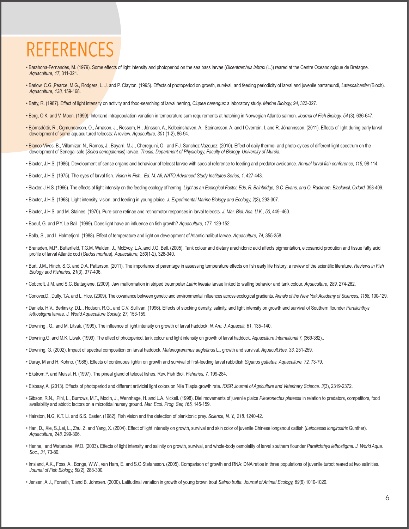## REFERENCES

- Barahona-Fernandes, M. (1979). Some effects of light intensity and photoperiod on the sea bass larvae (*Dicentrarchus labrax* (L.)) reared at the Centre Oceanologique de Bretagne. *Aquaculture, 17*, 311-321.
- Barlow, C.G.,Pearce, M.G., Rodgers, L. J. and P. Clayton. (1995). Effects of photoperiod on growth, survival, and feeding periodicity of larval and juvenile barramundi, *Latescalcarifer* (Bloch). *Aquaculture, 138,* 159-168.
- Batty, R. (1987). Effect of light intensity on activity and food-searching of larval herring, *Clupea harengus*: a laboratory study. *Marine Biology, 94*, 323-327.
- Berg, O.K. and V. Moen. (1999). Interland intrapopulation variation in temperature sum requirements at hatching in Norwegian Atlantic salmon. *Journal of Fish Biology*, 54 (3), 636-647.
- Björnsdóttir, R., Ögmundarson, O., Árnason, J., Ressem, H., Jónsson, A., Kolbeinshaven, A., Steinarsson, A. and I Overrein, I. and R. Jóhannsson. (2011). Effects of light during early larval development of some aquacultured teleosts: A review. *Aquaculture, 301* (1-2), 86-94.
- Blanco-Vives, B., Villamizar, N., Ramos, J., Bayarri, M.J., Cherequini, O. and F.J. Sanchez-Vazquez. (2010). Effect of daily thermo- and photo-cylces of different light spectrum on the development of Senegal sole (*Solea senegalensis*) larvae. *Thesis: Department of Physiology, Faculty of Biology, University of Murcia.*
- Blaxter, J.H.S. (1986). Development of sense organs and behaviour of teleost larvae with special reference to feeding and predator avoidance. *Annual larval fish conference, 115,* 98-114.
- Blaxter, J.H.S. (1975). The eyes of larval fish. *Vision in Fish., Ed. M. Ali, NATO Advanced Study Institutes Series, 1,* 427-443.
- Blaxter, J.H.S. (1966). The effects of light intensity on the feeding ecology of herring. *Light as an Ecological Factor, Eds, R. Bainbridge, G.C. Evans, and O. Rackham. Blackwell, Oxford,* 393-409.
- Blaxter, J.H.S. (1968). Light intensity, vision, and feeding in young plaice. *J. Experimental Marine Biology and Ecology, 2*(3), 293-307.
- Blaxter, J.H.S. and M. Staines. (1970). Pure-cone retinae and retinomotor responses in larval teleosts. *J. Mar. Biol. Ass. U.K., 50*, 449–460.
- Boeuf, G. and P.Y. Le Bail. (1999). Does light have an influence on fish growth? *Aquaculture, 177,* 129-152.
- Bolla, S., and I. Holmefjord. (1988). Effect of temperature and light on development of Atlantic halibut larvae. *Aquaculture, 74,* 355-358.
- Bransden, M.P., Butterfield, T.G.M. Walden, J., McEvoy, L.A.,and J.G. Bell. (2005). Tank colour and dietary arachidonic acid affects pigmentation, eicosanoid prodution and tissue fatty acid profile of larval Atlantic cod (*Gadus morhua*). *Aquaculture, 250*(1-2), 328-340.
- Burt, J.M., Hinch, S.G. and D.A. Patterson. (2011). The importance of parentage in assessing temperature effects on fish early life history: a review of the scientific literature. *Reviews in Fish Biology and Fisheries, 21*(3), 377-406.
- Cobcroft, J.M. and S.C. Battaglene. (2009). Jaw malformation in striped treumpeter *Latrix lineata* larvae linked to walling behavior and tank colour. *Aquaculture, 289,* 274-282.
- Conover,D., Duffy, T.A. and L. Hice. (2009). The covariance between genetic and environmental influences across ecological gradients. *Annals of the New York Academy of Sciences, 1168,* 100-129.
- Daniels, H.V., Berlinsky, D.L., Hodson, R.G., and C.V. Sullivan. (1996). Effects of stocking density, salinity, and light intensity on growth and survival of Southern flounder *Paralichthys lethostigma* larvae. *J. World Aquaculture Society, 27,* 153-159.
- Downing , G., and M. Litvak. (1999). The influence of light intensity on growth of larval haddock. *N. Am. J. Aquacult, 61,* 135–140.
- Downing,G. and M.K. Litvak. (1999). The effect of photoperiod, tank colour and light intensity on growth of larval haddock. *Aquaculture International 7,* (369-382)..
- Downing, G. (2002). Impact of spectral composition on larval haddock, *Malanogrammus aeglefinus* L., growth and survival. *Aquacult.Res, 33,* 251-259.
- Duray, M and H. Kohno. (1988). Effects of continuous lightin on growth and survival of first-feeding larval rabbitfish *Siganus guttatus. Aquaculture, 72,* 73-79.
- Ekstrom,P. and Meissl, H. (1997). The pineal gland of teleost fishes. Rev. Fish Biol. *Fisheries, 7,* 199-284.
- Elsbaay, A. (2013). Effects of photoperiod and different artivicial light colors on Nile Tilapia growth rate. *IOSR Journal of Agriculture and Veterinary Science. 3*(3), 2319-2372.
- Gibson, R.N., .Pihl, L., Burrows, M.T., Modin, J., Wennhage, H. and L.A. Nickell. (1998). Diel movements of juvenile plaice *Pleuronectes platessa* in relation to predators, competitors, food availability and abiotic factors on a microtidal nursey ground. *Mar. Ecol. Prog. Ser, 165,* 145-159.
- Hairston, N.G, K.T. Li. and S.S. Easter. (1982). Fish vision and the detection of planktonic prey. *Science, N. Y., 218,* 1240-42.
- Han, D., Xie, S.,Lei, L., Zhu, Z. and Yang, X. (2004). Effect of light intensity on growth, survival and skin color of juvenile Chinese longsnout catfish (*Leiocassis longirostris* Gunther). *Aquaculture, 248,* 299-306.
- Henne, and Watanabe, W.O. (2003). Effects of light intensity and salinity on growth, survival, and whole-body osmolality of larval southern flounder *Paralichthys lethostigma. J. World Aqua. Soc., 31,* 73-80.
- Imsland, A.K., Foss, A., Bonga, W.W., van Ham, E. and S.O Stefansson. (2005). Comparison of growth and RNA: DNA ratios in three populations of juvenile turbot reared at two salinities. *Journal of Fish Biology, 60*(2), 288-300.
- Jensen, A.J., Forseth, T. and B. Johnsen. (2000). Latitudinal variation in growth of young brown trout *Salmo trutta. Journal of Animal Ecology, 69*(6) 1010-1020.